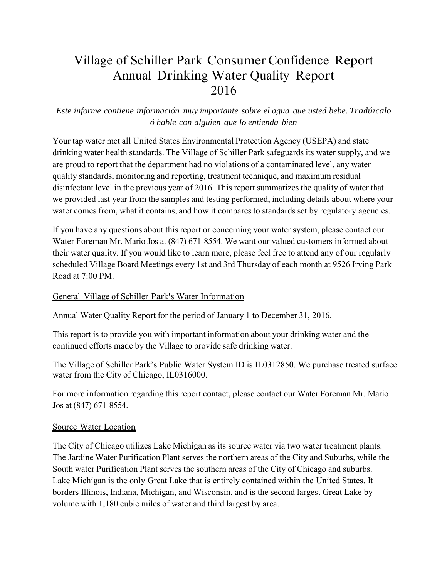# Village of Schiller Park Consumer Confidence Report Annual Drinking Water Quality Report 2016

# *Este informe contiene información muy importante sobre el agua que usted bebe. Tradúzcalo ó hable con alguien que lo entienda bien*

Your tap water met all United States Environmental Protection Agency (USEPA) and state drinking water health standards. The Village of Schiller Park safeguards its water supply, and we are proud to report that the department had no violations of a contaminated level, any water quality standards, monitoring and reporting, treatment technique, and maximum residual disinfectant level in the previous year of 2016. This report summarizes the quality of water that we provided last year from the samples and testing performed, including details about where your water comes from, what it contains, and how it compares to standards set by regulatory agencies.

If you have any questions about this report or concerning your water system, please contact our Water Foreman Mr. Mario Jos at (847) 671-8554. We want our valued customers informed about their water quality. If you would like to learn more, please feel free to attend any of our regularly scheduled Village Board Meetings every 1st and 3rd Thursday of each month at 9526 Irving Park Road at 7:00 PM.

### General Village of Schiller Park's Water Information

Annual Water Quality Report for the period of January 1 to December 31, 2016.

This report is to provide you with important information about your drinking water and the continued efforts made by the Village to provide safe drinking water.

The Village of Schiller Park's Public Water System ID is IL0312850. We purchase treated surface water from the City of Chicago, IL0316000.

For more information regarding this report contact, please contact our Water Foreman Mr. Mario Jos at (847) 671-8554.

### Source Water Location

The City of Chicago utilizes Lake Michigan as its source water via two water treatment plants. The Jardine Water Purification Plant serves the northern areas of the City and Suburbs, while the South water Purification Plant serves the southern areas of the City of Chicago and suburbs. Lake Michigan is the only Great Lake that is entirely contained within the United States. It borders Illinois, Indiana, Michigan, and Wisconsin, and is the second largest Great Lake by volume with 1,180 cubic miles of water and third largest by area.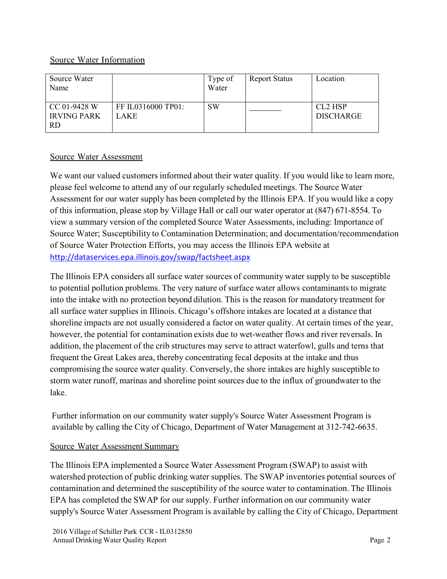# Source Water Information

| Source Water<br>Name                            |                            | Type of<br>Water | <b>Report Status</b> | Location                                            |
|-------------------------------------------------|----------------------------|------------------|----------------------|-----------------------------------------------------|
| CC 01-9428 W<br><b>IRVING PARK</b><br><b>RD</b> | FF IL0316000 TP01:<br>LAKE | <b>SW</b>        |                      | CL <sub>2</sub> H <sub>SP</sub><br><b>DISCHARGE</b> |

# Source Water Assessment

We want our valued customers informed about their water quality. If you would like to learn more, please feel welcome to attend any of our regularly scheduled meetings. The Source Water Assessment for our water supply has been completed by the Illinois EPA. If you would like a copy of this information, please stop by Village Hall or call our water operator at (847) 671-8554. To view a summary version of the completed Source Water Assessments, including: Importance of Source Water; Susceptibility to Contamination Determination; and documentation/recommendation of Source Water Protection Efforts, you may access the Illinois EPA website at http://dataservices.epa.illinois.gov/swap/factsheet.aspx

The Illinois EPA considers all surface water sources of community water supply to be susceptible to potential pollution problems. The very nature of surface water allows contaminants to migrate into the intake with no protection beyond dilution. This is the reason for mandatory treatment for all surface water supplies in Illinois. Chicago's offshore intakes are located at a distance that shoreline impacts are not usually considered a factor on water quality. At certain times of the year, however, the potential for contamination exists due to wet-weather flows and river reversals. In addition, the placement of the crib structures may serve to attract waterfowl, gulls and terns that frequent the Great Lakes area, thereby concentrating fecal deposits at the intake and thus compromising the source water quality. Conversely, the shore intakes are highly susceptible to storm water runoff, marinas and shoreline point sources due to the influx of groundwater to the lake.

Further information on our community water supply's Source Water Assessment Program is available by calling the City of Chicago, Department of Water Management at 312-742-6635.

# Source Water Assessment Summary

The Illinois EPA implemented a Source Water Assessment Program (SWAP) to assist with watershed protection of public drinking water supplies. The SWAP inventories potential sources of contamination and determined the susceptibility of the source water to contamination. The Illinois EPA has completed the SWAP for our supply. Further information on our community water supply's Source Water Assessment Program is available by calling the City of Chicago, Department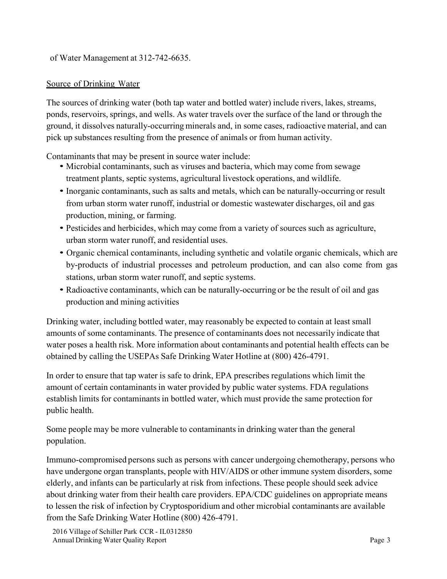of Water Management at 312-742-6635.

# Source of Drinking Water

The sources of drinking water (both tap water and bottled water) include rivers, lakes, streams, ponds, reservoirs, springs, and wells. As water travels over the surface of the land or through the ground, it dissolves naturally-occurring minerals and, in some cases, radioactive material, and can pick up substances resulting from the presence of animals or from human activity.

Contaminants that may be present in source water include:

- Microbial contaminants, such as viruses and bacteria, which may come from sewage treatment plants, septic systems, agricultural livestock operations, and wildlife.
- Inorganic contaminants, such as salts and metals, which can be naturally-occurring or result from urban storm water runoff, industrial or domestic wastewater discharges, oil and gas production, mining, or farming.
- Pesticides and herbicides, which may come from a variety of sources such as agriculture, urban storm water runoff, and residential uses.
- Organic chemical contaminants, including synthetic and volatile organic chemicals, which are by-products of industrial processes and petroleum production, and can also come from gas stations, urban storm water runoff, and septic systems.
- Radioactive contaminants, which can be naturally-occurring or be the result of oil and gas production and mining activities

Drinking water, including bottled water, may reasonably be expected to contain at least small amounts of some contaminants. The presence of contaminants does not necessarily indicate that water poses a health risk. More information about contaminants and potential health effects can be obtained by calling the USEPAs Safe Drinking Water Hotline at (800) 426-4791.

In order to ensure that tap water is safe to drink, EPA prescribes regulations which limit the amount of certain contaminants in water provided by public water systems. FDA regulations establish limits for contaminants in bottled water, which must provide the same protection for public health.

Some people may be more vulnerable to contaminants in drinking water than the general population.

Immuno-compromised persons such as persons with cancer undergoing chemotherapy, persons who have undergone organ transplants, people with HIV/AIDS or other immune system disorders, some elderly, and infants can be particularly at risk from infections. These people should seek advice about drinking water from their health care providers. EPA/CDC guidelines on appropriate means to lessen the risk of infection by Cryptosporidium and other microbial contaminants are available from the Safe Drinking Water Hotline (800) 426-4791.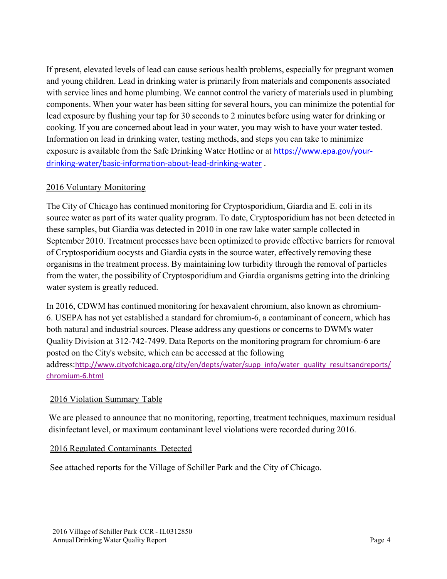If present, elevated levels of lead can cause serious health problems, especially for pregnant women and young children. Lead in drinking water is primarily from materials and components associated with service lines and home plumbing. We cannot control the variety of materials used in plumbing components. When your water has been sitting for several hours, you can minimize the potential for lead exposure by flushing your tap for 30 seconds to 2 minutes before using water for drinking or cooking. If you are concerned about lead in your water, you may wish to have your water tested. Information on lead in drinking water, testing methods, and steps you can take to minimize exposure is available from the Safe Drinking Water Hotline or at https://www.epa.gov/your‐ drinking‐water/basic‐information‐about‐lead‐drinking‐water .

# 2016 Voluntary Monitoring

The City of Chicago has continued monitoring for Cryptosporidium, Giardia and E. coli in its source water as part of its water quality program. To date, Cryptosporidium has not been detected in these samples, but Giardia was detected in 2010 in one raw lake water sample collected in September 2010. Treatment processes have been optimized to provide effective barriers for removal of Cryptosporidium oocysts and Giardia cysts in the source water, effectively removing these organisms in the treatment process. By maintaining low turbidity through the removal of particles from the water, the possibility of Cryptosporidium and Giardia organisms getting into the drinking water system is greatly reduced.

In 2016, CDWM has continued monitoring for hexavalent chromium, also known as chromium-6. USEPA has not yet established a standard for chromium-6, a contaminant of concern, which has both natural and industrial sources. Please address any questions or concerns to DWM's water Quality Division at 312-742-7499. Data Reports on the monitoring program for chromium-6 are posted on the City's website, which can be accessed at the following address:http://www.cityofchicago.org/city/en/depts/water/supp\_info/water\_quality\_resultsandreports/ chromium‐6.html

# 2016 Violation Summary Table

We are pleased to announce that no monitoring, reporting, treatment techniques, maximum residual disinfectant level, or maximum contaminant level violations were recorded during 2016.

# 2016 Regulated Contaminants Detected

See attached reports for the Village of Schiller Park and the City of Chicago.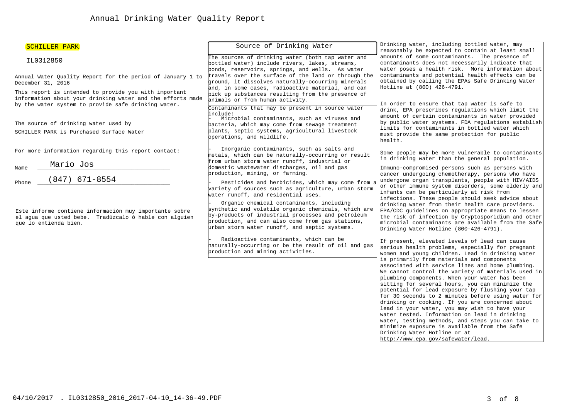| SCHILLER PARK                                                                                                                                                              | Source of Drinking Water                                                                                                                                                                                                                                                                         | Drinking water, including bottled water, may                                                                                                                                                                                                                                                                                                                                                                                                                                                                                                                                                                                                                                                       |  |
|----------------------------------------------------------------------------------------------------------------------------------------------------------------------------|--------------------------------------------------------------------------------------------------------------------------------------------------------------------------------------------------------------------------------------------------------------------------------------------------|----------------------------------------------------------------------------------------------------------------------------------------------------------------------------------------------------------------------------------------------------------------------------------------------------------------------------------------------------------------------------------------------------------------------------------------------------------------------------------------------------------------------------------------------------------------------------------------------------------------------------------------------------------------------------------------------------|--|
| IL0312850                                                                                                                                                                  | The sources of drinking water (both tap water and<br>bottled water) include rivers, lakes, streams,<br>ponds, reservoirs, springs, and wells. As water                                                                                                                                           | reasonably be expected to contain at least small<br>amounts of some contaminants. The presence of<br>contaminants does not necessarily indicate that<br>water poses a health risk. More information about                                                                                                                                                                                                                                                                                                                                                                                                                                                                                          |  |
| Annual Water Quality Report for the period of January 1 to<br>December 31, 2016                                                                                            | travels over the surface of the land or through the<br>ground, it dissolves naturally-occurring minerals<br>and, in some cases, radioactive material, and can                                                                                                                                    | contaminants and potential health effects can be<br>obtained by calling the EPAs Safe Drinking Water<br>Hotline at (800) 426-4791.                                                                                                                                                                                                                                                                                                                                                                                                                                                                                                                                                                 |  |
| This report is intended to provide you with important<br>information about your drinking water and the efforts made<br>by the water system to provide safe drinking water. | pick up substances resulting from the presence of<br>animals or from human activity.<br>Contaminants that may be present in source water                                                                                                                                                         | In order to ensure that tap water is safe to<br>drink, EPA prescribes regulations which limit the                                                                                                                                                                                                                                                                                                                                                                                                                                                                                                                                                                                                  |  |
| The source of drinking water used by<br>SCHILLER PARK is Purchased Surface Water                                                                                           | include:<br>Microbial contaminants, such as viruses and<br>bacteria, which may come from sewage treatment<br>plants, septic systems, agricultural livestock<br>operations, and wildlife.                                                                                                         | amount of certain contaminants in water provided<br>by public water systems. FDA regulations establish<br>limits for contaminants in bottled water which<br>must provide the same protection for public<br>health.                                                                                                                                                                                                                                                                                                                                                                                                                                                                                 |  |
| For more information regarding this report contact:                                                                                                                        | Inorganic contaminants, such as salts and<br>metals, which can be naturally-occurring or result<br>from urban storm water runoff, industrial or                                                                                                                                                  | Some people may be more vulnerable to contaminants<br>in drinking water than the general population.                                                                                                                                                                                                                                                                                                                                                                                                                                                                                                                                                                                               |  |
| Mario Jos<br>Name<br>$(847)$ 671-8554<br>Phone                                                                                                                             | domestic wastewater discharges, oil and gas<br>production, mining, or farming.<br>Pesticides and herbicides, which may come from a<br>variety of sources such as agriculture, urban storm                                                                                                        | Immuno-compromised persons such as persons with<br>cancer undergoing chemotherapy, persons who have<br>undergone organ transplants, people with HIV/AIDS<br>or other immune system disorders, some elderly and                                                                                                                                                                                                                                                                                                                                                                                                                                                                                     |  |
| Este informe contiene información muy importante sobre<br>el aqua que usted bebe. Tradúzcalo ó hable con alquien<br>que lo entienda bien.                                  | water runoff, and residential uses.<br>Organic chemical contaminants, including<br>synthetic and volatile organic chemicals, which are<br>by-products of industrial processes and petroleum<br>production, and can also come from gas stations,<br>urban storm water runoff, and septic systems. | infants can be particularly at risk from<br>infections. These people should seek advice about<br>drinking water from their health care providers.<br>EPA/CDC quidelines on appropriate means to lessen<br>the risk of infection by Cryptosporidium and other<br>microbial contaminants are available from the Safe<br>Drinking Water Hotline (800-426-4791).                                                                                                                                                                                                                                                                                                                                       |  |
|                                                                                                                                                                            | Radioactive contaminants, which can be<br>haturally-occurring or be the result of oil and gas<br>production and mining activities.                                                                                                                                                               | If present, elevated levels of lead can cause<br>serious health problems, especially for pregnant<br>women and young children. Lead in drinking water                                                                                                                                                                                                                                                                                                                                                                                                                                                                                                                                              |  |
|                                                                                                                                                                            |                                                                                                                                                                                                                                                                                                  | is primarily from materials and components<br>associated with service lines and home plumbing.<br>We cannot control the variety of materials used in<br>plumbing components. When your water has been<br>sitting for several hours, you can minimize the<br>potential for lead exposure by flushing your tap<br>for 30 seconds to 2 minutes before using water for<br>drinking or cooking. If you are concerned about<br>lead in your water, you may wish to have your<br>water tested. Information on lead in drinking<br>water, testing methods, and steps you can take to<br>minimize exposure is available from the Safe<br>Drinking Water Hotline or at<br>http://www.epa.gov/safewater/lead. |  |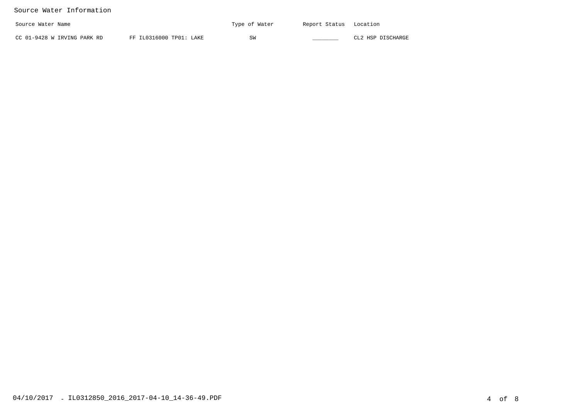### Source Water Information

| Source Water Name           |                         | Type of Water | Report Status | Location          |
|-----------------------------|-------------------------|---------------|---------------|-------------------|
| CC 01-9428 W IRVING PARK RD | FF IL0316000 TP01: LAKE | SW            |               | CL2 HSP DISCHARGE |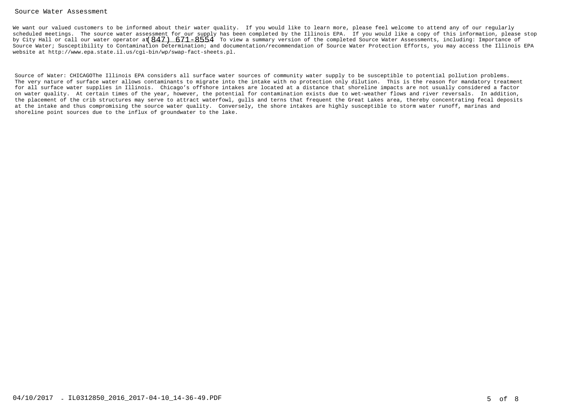#### Source Water Assessment

We want our valued customers to be informed about their water quality. If you would like to learn more, please feel welcome to attend any of our regularly scheduled meetings. The source water assessment for our supply has been completed by the Illinois EPA. If you would like a copy of this information, please stopby City Hall or call our water operator at  $847)$   $\,671–8554$  To view a summary version of the completed Source Water Assessments, including: Importance of Source Water; Susceptibility to Contamination Determination; and documentation/recommendation of Source Water Protection Efforts, you may access the Illinois EPAwebsite at http://www.epa.state.il.us/cgi-bin/wp/swap-fact-sheets.pl.

Source of Water: CHICAGOThe Illinois EPA considers all surface water sources of community water supply to be susceptible to potential pollution problems. The very nature of surface water allows contaminants to migrate into the intake with no protection only dilution. This is the reason for mandatory treatment for all surface water supplies in Illinois. Chicago's offshore intakes are located at a distance that shoreline impacts are not usually considered a factor on water quality. At certain times of the year, however, the potential for contamination exists due to wet-weather flows and river reversals. In addition, the placement of the crib structures may serve to attract waterfowl, gulls and terns that frequent the Great Lakes area, thereby concentrating fecal depositsat the intake and thus compromising the source water quality. Conversely, the shore intakes are highly susceptible to storm water runoff, marinas andshoreline point sources due to the influx of groundwater to the lake.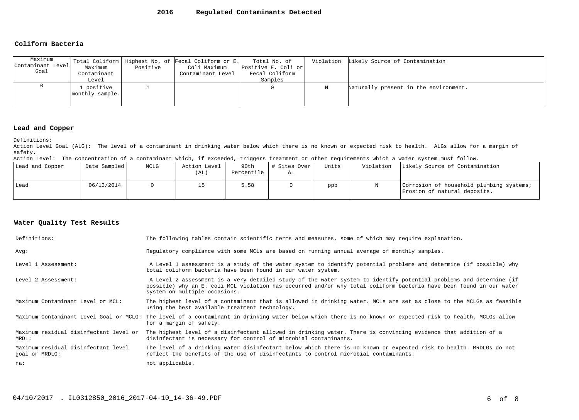#### **Coliform Bacteria**

| Maximum           |                 |          | Total Coliform   Highest No. of Fecal Coliform or E. | Total No. of        |   | Violation Likely Source of Contamination |
|-------------------|-----------------|----------|------------------------------------------------------|---------------------|---|------------------------------------------|
| Contaminant Level | Maximum         | Positive | Coli Maximum                                         | Positive E. Coli or |   |                                          |
| Goal              | Contaminant     |          | Contaminant Level                                    | Fecal Coliform      |   |                                          |
|                   | Level           |          |                                                      | Samples             |   |                                          |
|                   | . positive      |          |                                                      |                     | Ν | Naturally present in the environment.    |
|                   | monthly sample. |          |                                                      |                     |   |                                          |
|                   |                 |          |                                                      |                     |   |                                          |

#### **Lead and Copper**

Definitions:

 Action Level Goal (ALG): The level of a contaminant in drinking water below which there is no known or expected risk to health. ALGs allow for a margin ofsafety.

Action Level: The concentration of a contaminant which, if exceeded, triggers treatment or other requirements which a water system must follow.

| Lead and Copper | Date Sampled | MCLG | Action Level<br>(AL) | 90th<br>Percentile | # Sites Over<br>AL | Units | Violation | Likely Source of Contamination                                           |
|-----------------|--------------|------|----------------------|--------------------|--------------------|-------|-----------|--------------------------------------------------------------------------|
| Lead            | 06/13/2014   |      |                      | 5.58               |                    | ppb   |           | Corrosion of household plumbing systems;<br>Erosion of natural deposits. |

| Definitions:                                          | The following tables contain scientific terms and measures, some of which may require explanation.                                                                                                                                                                         |
|-------------------------------------------------------|----------------------------------------------------------------------------------------------------------------------------------------------------------------------------------------------------------------------------------------------------------------------------|
| Avq:                                                  | Requiatory compliance with some MCLs are based on running annual average of monthly samples.                                                                                                                                                                               |
| Level 1 Assessment:                                   | A Level 1 assessment is a study of the water system to identify potential problems and determine (if possible) why<br>total coliform bacteria have been found in our water system.                                                                                         |
| Level 2 Assessment:                                   | A Level 2 assessment is a very detailed study of the water system to identify potential problems and determine (if<br>possible) why an E. coli MCL violation has occurred and/or why total coliform bacteria have been found in our water<br>system on multiple occasions. |
| Maximum Contaminant Level or MCL:                     | The highest level of a contaminant that is allowed in drinking water. MCLs are set as close to the MCLGs as feasible<br>using the best available treatment technology.                                                                                                     |
| Maximum Contaminant Level Goal or MCLG:               | The level of a contaminant in drinking water below which there is no known or expected risk to health. MCLGs allow<br>for a margin of safety.                                                                                                                              |
| Maximum residual disinfectant level or<br>MRDL:       | The highest level of a disinfectant allowed in drinking water. There is convincing evidence that addition of a<br>disinfectant is necessary for control of microbial contaminants.                                                                                         |
| Maximum residual disinfectant level<br>goal or MRDLG: | The level of a drinking water disinfectant below which there is no known or expected risk to health. MRDLGs do not<br>reflect the benefits of the use of disinfectants to control microbial contaminants.                                                                  |
| na:                                                   | not applicable.                                                                                                                                                                                                                                                            |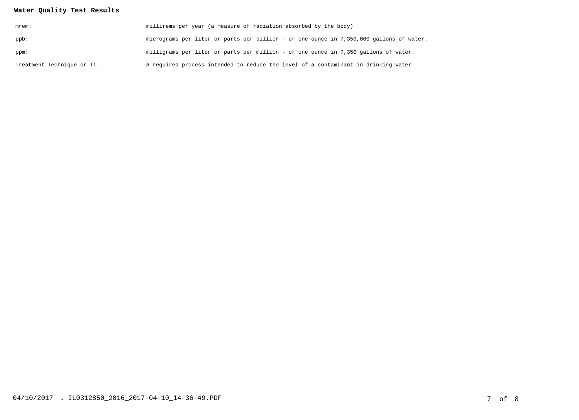| mrem:                      | millirems per year (a measure of radiation absorbed by the body)                        |
|----------------------------|-----------------------------------------------------------------------------------------|
| ppb:                       | micrograms per liter or parts per billion - or one ounce in 7,350,000 gallons of water. |
| ppm:                       | milligrams per liter or parts per million - or one ounce in 7,350 gallons of water.     |
| Treatment Technique or TT: | A required process intended to reduce the level of a contaminant in drinking water.     |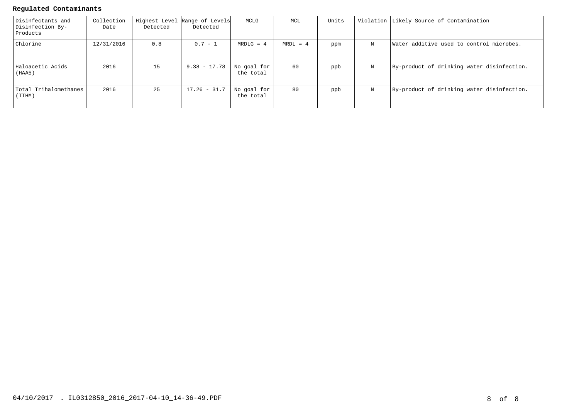### **Regulated Contaminants**

| Disinfectants and<br>Disinfection By-<br>Products | Collection<br>Date | Detected | Highest Level Range of Levels<br>Detected | MCLG                     | MCL        | Units |   | Violation Likely Source of Contamination   |
|---------------------------------------------------|--------------------|----------|-------------------------------------------|--------------------------|------------|-------|---|--------------------------------------------|
| Chlorine                                          | 12/31/2016         | 0.8      | $0.7 - 1$                                 | $MRDLG = 4$              | $MRDL = 4$ | ppm   | N | Water additive used to control microbes.   |
| Haloacetic Acids<br>(HAA5)                        | 2016               | 15       | $9.38 - 17.78$                            | No goal for<br>the total | 60         | ppb   | N | By-product of drinking water disinfection. |
| Total Trihalomethanes<br>(TTHM)                   | 2016               | 25       | $17.26 - 31.7$                            | No goal for<br>the total | 80         | ppb   | N | By-product of drinking water disinfection. |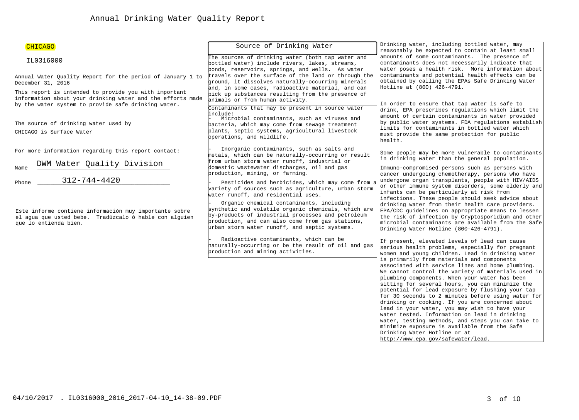| Drinking water, including bottled water, may<br>Source of Drinking Water<br><b>CHICAGO</b><br>reasonably be expected to contain at least small<br>amounts of some contaminants. The presence of<br>The sources of drinking water (both tap water and<br>IL0316000<br>contaminants does not necessarily indicate that<br>bottled water) include rivers, lakes, streams,<br>water poses a health risk. More information about<br>ponds, reservoirs, springs, and wells. As water<br>contaminants and potential health effects can be<br>travels over the surface of the land or through the<br>Annual Water Quality Report for the period of January 1 to<br>obtained by calling the EPAs Safe Drinking Water<br>ground, it dissolves naturally-occurring minerals<br>December 31, 2016<br>Hotline at (800) 426-4791.<br>and, in some cases, radioactive material, and can |  |
|--------------------------------------------------------------------------------------------------------------------------------------------------------------------------------------------------------------------------------------------------------------------------------------------------------------------------------------------------------------------------------------------------------------------------------------------------------------------------------------------------------------------------------------------------------------------------------------------------------------------------------------------------------------------------------------------------------------------------------------------------------------------------------------------------------------------------------------------------------------------------|--|
|                                                                                                                                                                                                                                                                                                                                                                                                                                                                                                                                                                                                                                                                                                                                                                                                                                                                          |  |
|                                                                                                                                                                                                                                                                                                                                                                                                                                                                                                                                                                                                                                                                                                                                                                                                                                                                          |  |
|                                                                                                                                                                                                                                                                                                                                                                                                                                                                                                                                                                                                                                                                                                                                                                                                                                                                          |  |
| This report is intended to provide you with important<br>pick up substances resulting from the presence of<br>information about your drinking water and the efforts made<br>animals or from human activity.<br>In order to ensure that tap water is safe to<br>by the water system to provide safe drinking water.                                                                                                                                                                                                                                                                                                                                                                                                                                                                                                                                                       |  |
| Contaminants that may be present in source water<br>drink, EPA prescribes regulations which limit the<br>linclude:<br>amount of certain contaminants in water provided<br>Microbial contaminants, such as viruses and<br>by public water systems. FDA regulations establish<br>The source of drinking water used by<br>bacteria, which may come from sewage treatment                                                                                                                                                                                                                                                                                                                                                                                                                                                                                                    |  |
| limits for contaminants in bottled water which<br>plants, septic systems, agricultural livestock<br>CHICAGO is Surface Water<br>must provide the same protection for public<br>operations, and wildlife.<br>health.                                                                                                                                                                                                                                                                                                                                                                                                                                                                                                                                                                                                                                                      |  |
| Inorganic contaminants, such as salts and<br>For more information regarding this report contact:<br>Some people may be more vulnerable to contaminants<br>metals, which can be naturally-occurring or result<br>in drinking water than the general population.<br>from urban storm water runoff, industrial or                                                                                                                                                                                                                                                                                                                                                                                                                                                                                                                                                           |  |
| DWM Water Quality Division<br>domestic wastewater discharges, oil and gas<br>Immuno-compromised persons such as persons with<br>Name<br>production, mining, or farming.<br>cancer undergoing chemotherapy, persons who have                                                                                                                                                                                                                                                                                                                                                                                                                                                                                                                                                                                                                                              |  |
| $312 - 744 - 4420$<br>undergone organ transplants, people with HIV/AIDS<br>Pesticides and herbicides, which may come from a<br>Phone<br>or other immune system disorders, some elderly and<br>variety of sources such as agriculture, urban storm<br>infants can be particularly at risk from<br>water runoff, and residential uses.                                                                                                                                                                                                                                                                                                                                                                                                                                                                                                                                     |  |
| infections. These people should seek advice about<br>Organic chemical contaminants, including<br>drinking water from their health care providers.<br>synthetic and volatile organic chemicals, which are<br>EPA/CDC guidelines on appropriate means to lessen<br>Este informe contiene información muy importante sobre<br>by-products of industrial processes and petroleum<br>the risk of infection by Cryptosporidium and other<br>el aqua que usted bebe. Tradúzcalo ó hable con alquien<br>production, and can also come from gas stations,<br>microbial contaminants are available from the Safe<br>que lo entienda bien.<br>urban storm water runoff, and septic systems.<br>Drinking Water Hotline (800-426-4791).                                                                                                                                               |  |
| Radioactive contaminants, which can be<br>If present, elevated levels of lead can cause<br>haturally-occurring or be the result of oil and gas<br>serious health problems, especially for pregnant<br>production and mining activities.<br>women and young children. Lead in drinking water                                                                                                                                                                                                                                                                                                                                                                                                                                                                                                                                                                              |  |
| is primarily from materials and components<br>associated with service lines and home plumbing.<br>We cannot control the variety of materials used in<br>plumbing components. When your water has been<br>sitting for several hours, you can minimize the<br>potential for lead exposure by flushing your tap                                                                                                                                                                                                                                                                                                                                                                                                                                                                                                                                                             |  |

 for 30 seconds to 2 minutes before using water fordrinking or cooking. If you are concerned aboutlead in your water, you may wish to have your water tested. Information on lead in drinking water, testing methods, and steps you can take tominimize exposure is available from the Safe

Drinking Water Hotline or athttp://www.epa.gov/safewater/lead.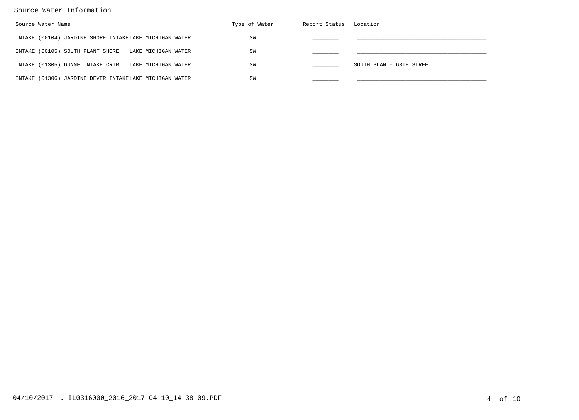### Source Water Information

| Source Water Name                                       | Type of Water | Report Status Location |                          |
|---------------------------------------------------------|---------------|------------------------|--------------------------|
| INTAKE (00104) JARDINE SHORE INTAKELAKE MICHIGAN WATER  | SW            |                        |                          |
| INTAKE (00105) SOUTH PLANT SHORE<br>LAKE MICHIGAN WATER | SW            |                        |                          |
| INTAKE (01305) DUNNE INTAKE CRIB<br>LAKE MICHIGAN WATER | SW            |                        | SOUTH PLAN - 68TH STREET |
| INTAKE (01306) JARDINE DEVER INTAKELAKE MICHIGAN WATER  | SW            |                        |                          |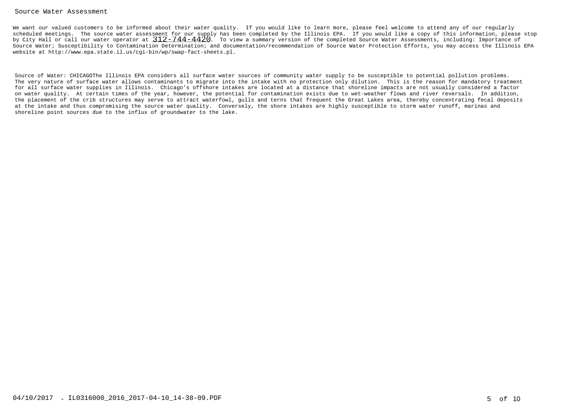#### Source Water Assessment

We want our valued customers to be informed about their water quality. If you would like to learn more, please feel welcome to attend any of our regularly scheduled meetings. The source water assessment for our supply has been completed by the Illinois EPA. If you would like a copy of this information, please stopby City Hall or call our water operator at  $\frac{312-744-4420}$ . To view a summary version of the completed Source Water Assessments, including: Importance of Source Water; Susceptibility to Contamination Determination; and documentation/recommendation of Source Water Protection Efforts, you may access the Illinois EPAwebsite at http://www.epa.state.il.us/cgi-bin/wp/swap-fact-sheets.pl.

Source of Water: CHICAGOThe Illinois EPA considers all surface water sources of community water supply to be susceptible to potential pollution problems. The very nature of surface water allows contaminants to migrate into the intake with no protection only dilution. This is the reason for mandatory treatment for all surface water supplies in Illinois. Chicago's offshore intakes are located at a distance that shoreline impacts are not usually considered a factor on water quality. At certain times of the year, however, the potential for contamination exists due to wet-weather flows and river reversals. In addition, the placement of the crib structures may serve to attract waterfowl, gulls and terns that frequent the Great Lakes area, thereby concentrating fecal depositsat the intake and thus compromising the source water quality. Conversely, the shore intakes are highly susceptible to storm water runoff, marinas andshoreline point sources due to the influx of groundwater to the lake.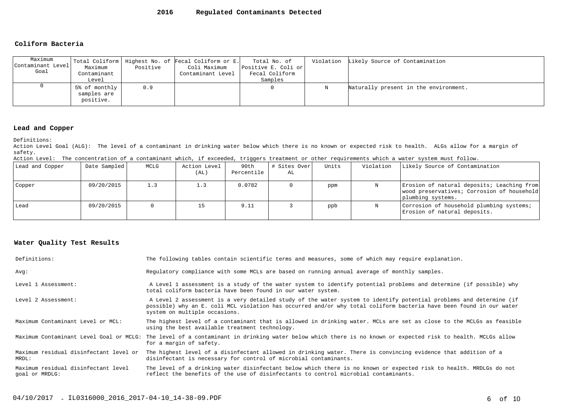#### **Coliform Bacteria**

| Maximum<br>Contaminant Level<br>Goal | Maximum<br>Contaminant<br>Level                  | Positive | Total Coliform   Highest No. of Fecal Coliform or E.<br>Coli Maximum<br>Contaminant Level | Total No. of<br>Positive E. Coli or<br>Fecal Coliform<br>Samples |   | Violation Likely Source of Contamination |
|--------------------------------------|--------------------------------------------------|----------|-------------------------------------------------------------------------------------------|------------------------------------------------------------------|---|------------------------------------------|
|                                      | $5\%$ of monthly $ $<br>samples are<br>positive. | 0.9      |                                                                                           |                                                                  | N | Naturally present in the environment.    |

#### **Lead and Copper**

Definitions:

 Action Level Goal (ALG): The level of a contaminant in drinking water below which there is no known or expected risk to health. ALGs allow for a margin ofsafety.

Action Level: The concentration of a contaminant which, if exceeded, triggers treatment or other requirements which a water system must follow.

| Lead and Copper | Date Sampled | MCLG | Action Level<br>(AL) | 90th<br>Percentile | # Sites Over<br>AL | Units | Violation | Likely Source of Contamination                                                                                |
|-----------------|--------------|------|----------------------|--------------------|--------------------|-------|-----------|---------------------------------------------------------------------------------------------------------------|
| Copper          | 09/20/2015   | 1.3  | $\perp$ .3           | 0.0782             |                    | ppm   |           | Erosion of natural deposits; Leaching from<br>wood preservatives; Corrosion of household<br>plumbing systems. |
| l Lead          | 09/20/2015   |      |                      | 9.11               |                    | ppb   |           | Corrosion of household plumbing systems;<br>Erosion of natural deposits.                                      |

| Definitions:                                          | The following tables contain scientific terms and measures, some of which may require explanation.                                                                                                                                                                         |
|-------------------------------------------------------|----------------------------------------------------------------------------------------------------------------------------------------------------------------------------------------------------------------------------------------------------------------------------|
| Avq:                                                  | Requiatory compliance with some MCLs are based on running annual average of monthly samples.                                                                                                                                                                               |
| Level 1 Assessment:                                   | A Level 1 assessment is a study of the water system to identify potential problems and determine (if possible) why<br>total coliform bacteria have been found in our water system.                                                                                         |
| Level 2 Assessment:                                   | A Level 2 assessment is a very detailed study of the water system to identify potential problems and determine (if<br>possible) why an E. coli MCL violation has occurred and/or why total coliform bacteria have been found in our water<br>system on multiple occasions. |
| Maximum Contaminant Level or MCL:                     | The highest level of a contaminant that is allowed in drinking water. MCLs are set as close to the MCLGs as feasible<br>using the best available treatment technology.                                                                                                     |
|                                                       | Maximum Contaminant Level Goal or MCLG: The level of a contaminant in drinking water below which there is no known or expected risk to health. MCLGs allow<br>for a margin of safety.                                                                                      |
| Maximum residual disinfectant level or<br>MRDL:       | The highest level of a disinfectant allowed in drinking water. There is convincing evidence that addition of a<br>disinfectant is necessary for control of microbial contaminants.                                                                                         |
| Maximum residual disinfectant level<br>qoal or MRDLG: | The level of a drinking water disinfectant below which there is no known or expected risk to health. MRDLGs do not<br>reflect the benefits of the use of disinfectants to control microbial contaminants.                                                                  |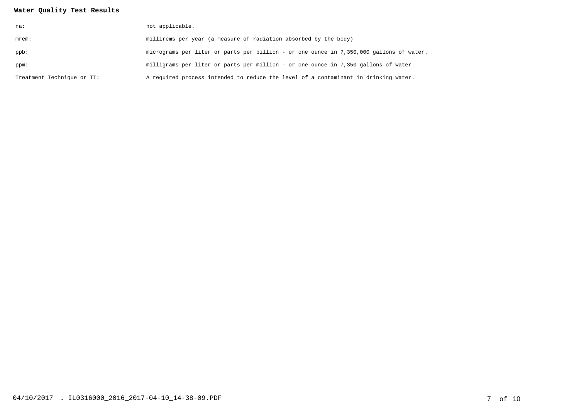| na:                        | not applicable.                                                                         |
|----------------------------|-----------------------------------------------------------------------------------------|
| mrem:                      | millirems per year (a measure of radiation absorbed by the body)                        |
| ppb:                       | micrograms per liter or parts per billion - or one ounce in 7,350,000 gallons of water. |
| ppm:                       | milligrams per liter or parts per million - or one ounce in 7,350 gallons of water.     |
| Treatment Technique or TT: | A required process intended to reduce the level of a contaminant in drinking water.     |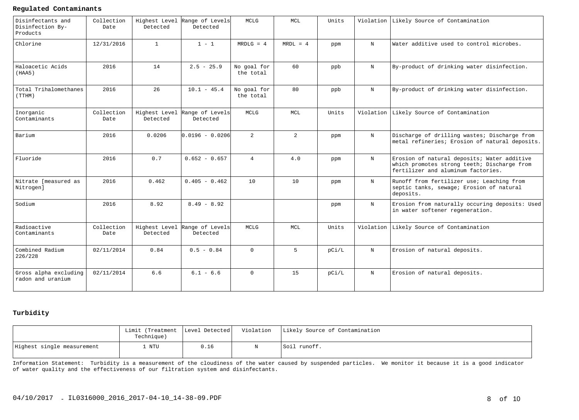#### **Regulated Contaminants**

| Disinfectants and<br>Disinfection By-<br>Products | Collection<br>Date | Detected     | Highest Level Range of Levels<br>Detected | MCLG                     | MCL            | Units |            | Violation Likely Source of Contamination                                                                                         |
|---------------------------------------------------|--------------------|--------------|-------------------------------------------|--------------------------|----------------|-------|------------|----------------------------------------------------------------------------------------------------------------------------------|
| Chlorine                                          | 12/31/2016         | $\mathbf{1}$ | $1 - 1$                                   | $MRDLG = 4$              | $MRDL = 4$     | ppm   | $_{\rm N}$ | Water additive used to control microbes.                                                                                         |
| Haloacetic Acids<br>(HAA5)                        | 2016               | 14           | $2.5 - 25.9$                              | No goal for<br>the total | 60             | ppb   | $_{\rm N}$ | By-product of drinking water disinfection.                                                                                       |
| Total Trihalomethanes<br>(TTHM)                   | 2016               | 26           | $10.1 - 45.4$                             | No goal for<br>the total | 80             | ppb   | $_{\rm N}$ | By-product of drinking water disinfection.                                                                                       |
| Inorganic<br>Contaminants                         | Collection<br>Date | Detected     | Highest Level Range of Levels<br>Detected | <b>MCLG</b>              | <b>MCL</b>     | Units | Violation  | Likely Source of Contamination                                                                                                   |
| Barium                                            | 2016               | 0.0206       | lo.o196 - o.o2o6l                         | $\overline{2}$           | $\overline{2}$ | ppm   | $_{\rm N}$ | Discharge of drilling wastes; Discharge from<br>metal refineries; Erosion of natural deposits.                                   |
| Fluoride                                          | 2016               | 0.7          | $0.652 - 0.657$                           | $\overline{4}$           | 4.0            | ppm   | $_{\rm N}$ | Erosion of natural deposits; Water additive<br>which promotes strong teeth; Discharge from<br>fertilizer and aluminum factories. |
| Nitrate [measured as<br>Nitrogen]                 | 2016               | 0.462        | $0.405 - 0.462$                           | 10                       | 10             | ppm   | $_{\rm N}$ | Runoff from fertilizer use; Leaching from<br>septic tanks, sewage; Erosion of natural<br>deposits.                               |
| Sodium                                            | 2016               | 8.92         | $8.49 - 8.92$                             |                          |                | ppm   | $_{\rm N}$ | Erosion from naturally occuring deposits: Used<br>in water softener regeneration.                                                |
| Radioactive<br>Contaminants                       | Collection<br>Date | Detected     | Highest Level Range of Levels<br>Detected | MCLG                     | MCL            | Units |            | Violation Likely Source of Contamination                                                                                         |
| Combined Radium<br>226/228                        | 02/11/2014         | 0.84         | $0.5 - 0.84$                              | $\Omega$                 | 5              | pCi/L | N          | Erosion of natural deposits.                                                                                                     |
| Gross alpha excluding<br>radon and uranium        | 02/11/2014         | 6.6          | $6.1 - 6.6$                               | $\Omega$                 | 1.5            | pCi/L | $_{\rm N}$ | Erosion of natural deposits.                                                                                                     |

### **Turbidity**

|                            | Limit (Treatment   Level Detected <br>Technique) |      | Violation   Likely Source of Contamination |
|----------------------------|--------------------------------------------------|------|--------------------------------------------|
| Highest single measurement | NTU                                              | 0.16 | Soil runoff.                               |

Information Statement: Turbidity is a measurement of the cloudiness of the water caused by suspended particles. We monitor it because it is a good indicatorof water quality and the effectiveness of our filtration system and disinfectants.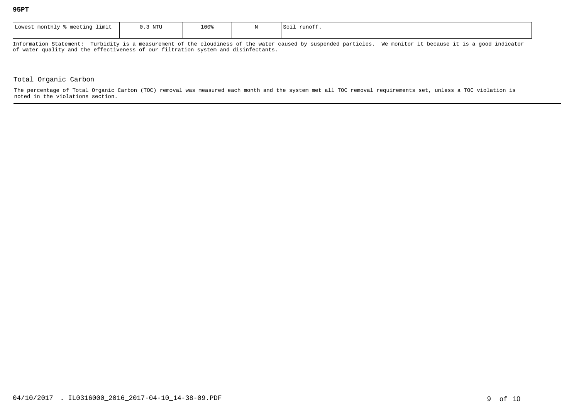| Lowest<br>meeting .<br>limit<br>monthly % | $0.3$ NTU | 100% | $S$ 01 $\perp$<br>runott. |
|-------------------------------------------|-----------|------|---------------------------|
|                                           |           |      |                           |

Information Statement: Turbidity is a measurement of the cloudiness of the water caused by suspended particles. We monitor it because it is a good indicatorof water quality and the effectiveness of our filtration system and disinfectants.

#### Total Organic Carbon

The percentage of Total Organic Carbon (TOC) removal was measured each month and the system met all TOC removal requirements set, unless a TOC violation isnoted in the violations section.